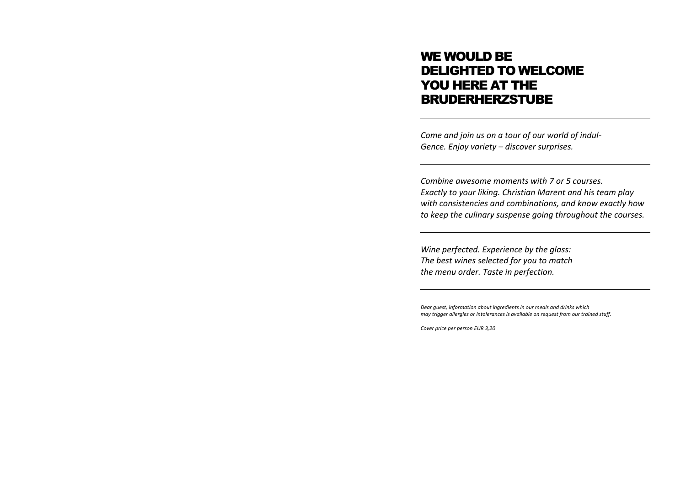# WE WOULD BE DELIGHTED TO WELCOME YOU HERE AT THE BRUDERHERZSTUBE

*Come and join us on a tour of our world of indul-Gence. Enjoy variety – discover surprises.*

*Combine awesome moments with 7 or 5 courses. Exactly to your liking. Christian Marent and his team play with consistencies and combinations, and know exactly how to keep the culinary suspense going throughout the courses.*

*Wine perfected. Experience by the glass: The best wines selected for you to match the menu order. Taste in perfection.*

*Dear guest, information about ingredients in our meals and drinks which may trigger allergies or intolerances is available on request from our trained stuff.*

*Cover price per person EUR 3,20*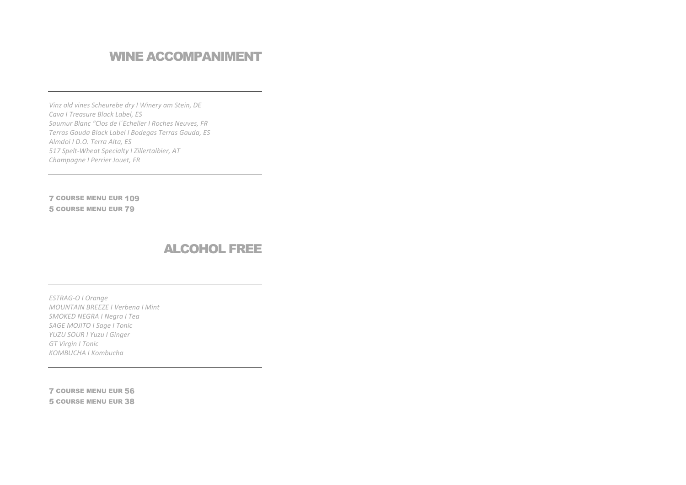### **WINE ACCOMPANIMENT**

Vinz old vines Scheurebe dry I Winery am Stein, DE Cava I Treasure Black Label, ES Saumur Blanc "Clos de l'Echelier I Roches Neuves, FR Terras Gauda Black Label I Bodegas Terras Gauda, ES Almdoi I D.O. Terra Alta, ES 517 Spelt-Wheat Specialty I Zillertalbier, AT Champagne I Perrier Jouet, FR

**7 COURSE MENU EUR 109 5 COURSE MENU EUR 79** 

#### **ALCOHOL FREE**

ESTRAG-O I Orange MOUNTAIN BREEZE I Verbena I Mint SMOKED NEGRA I Negra I Tea **SAGE MOJITO I Sage I Tonic** YUZU SOUR I Yuzu I Ginger **GT Virgin I Tonic** KOMBUCHA I Kombucha

**7 COURSE MENU EUR 56 5 COURSE MENU EUR 38**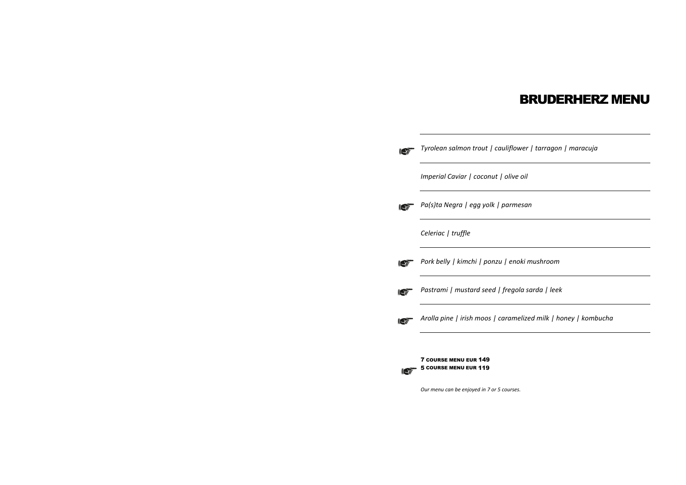#### BRUDERHERZ MENU

| wer   tarragon   maracuja |
|---------------------------|
| oil'                      |
| esan                      |
|                           |
| oki mushroom              |
| la sarda   leek           |
|                           |



*Our menu can be enjoyed in 7 or 5 courses.*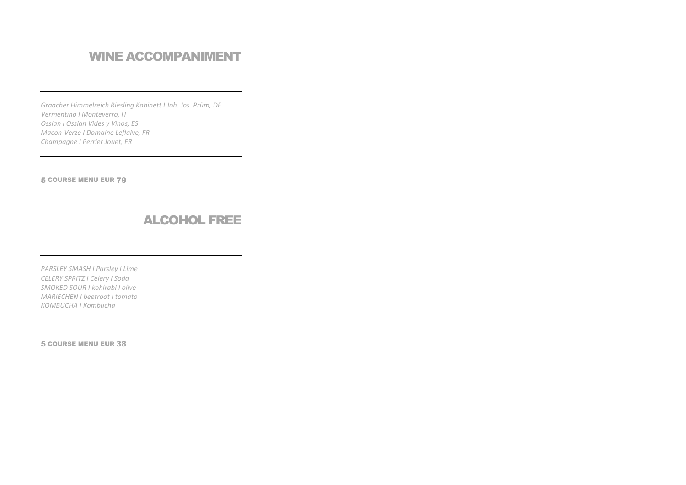# **WINE ACCOMPANIMENT**

Graacher Himmelreich Riesling Kabinett I Joh. Jos. Prüm, DE Vermentino I Monteverro, IT Ossian I Ossian Vides y Vinos, ES Macon-Verze I Domaine Leflaive, FR Champagne I Perrier Jouet, FR

**5 COURSE MENU EUR 79** 

#### **ALCOHOL FREE**

PARSLEY SMASH I Parsley I Lime CELERY SPRITZ I Celery I Soda SMOKED SOUR I kohlrabi I olive **MARIECHEN I beetroot I tomato KOMBUCHA I Kombucha** 

**5 COURSE MENU EUR 38**